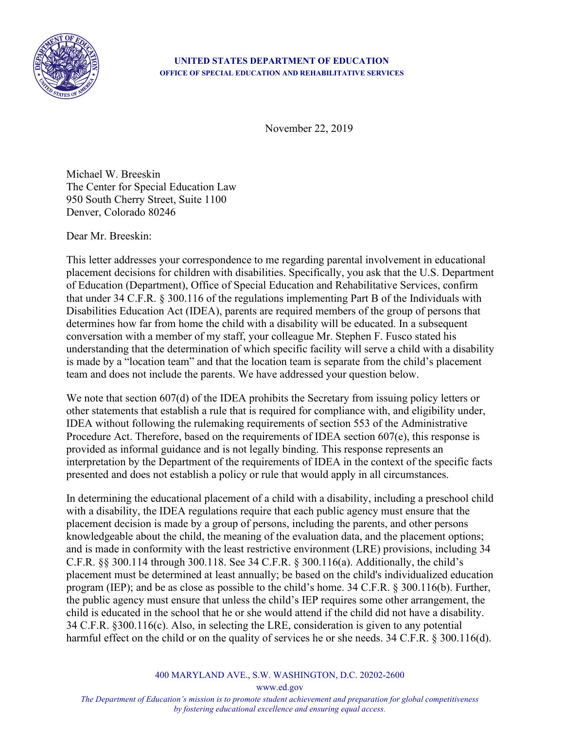

## **UNITED STATES DEPARTMENT OF EDUCATION OFFICE OF SPECIAL EDUCATION AND REHABILITATIVE SERVICES**

November 22, 2019

Michael W. Breeskin The Center for Special Education Law 950 South Cherry Street, Suite 1100 Denver, Colorado 80246

Dear Mr. Breeskin:

This letter addresses your correspondence to me regarding parental involvement in educational placement decisions for children with disabilities. Specifically, you ask that the U.S. Department of Education (Department), Office of Special Education and Rehabilitative Services, confirm that under 34 C.F.R. § 300.116 of the regulations implementing Part B of the Individuals with Disabilities Education Act (IDEA), parents are required members of the group of persons that determines how far from home the child with a disability will be educated. In a subsequent conversation with a member of my staff, your colleague Mr. Stephen F. Fusco stated his understanding that the determination of which specific facility will serve a child with a disability is made by a "location team" and that the location team is separate from the child's placement team and does not include the parents. We have addressed your question below.

We note that section 607(d) of the IDEA prohibits the Secretary from issuing policy letters or other statements that establish a rule that is required for compliance with, and eligibility under, IDEA without following the rulemaking requirements of section 553 of the Administrative Procedure Act. Therefore, based on the requirements of IDEA section 607(e), this response is provided as informal guidance and is not legally binding. This response represents an interpretation by the Department of the requirements of IDEA in the context of the specific facts presented and does not establish a policy or rule that would apply in all circumstances.

In determining the educational placement of a child with a disability, including a preschool child with a disability, the IDEA regulations require that each public agency must ensure that the placement decision is made by a group of persons, including the parents, and other persons knowledgeable about the child, the meaning of the evaluation data, and the placement options; and is made in conformity with the least restrictive environment (LRE) provisions, including 34 C.F.R. §§ 300.114 through 300.118. See 34 C.F.R. § 300.116(a). Additionally, the child's placement must be determined at least annually; be based on the child's individualized education program (IEP); and be as close as possible to the child's home. 34 C.F.R. § 300.116(b). Further, the public agency must ensure that unless the child's IEP requires some other arrangement, the child is educated in the school that he or she would attend if the child did not have a disability. 34 C.F.R. §300.116(c). Also, in selecting the LRE, consideration is given to any potential harmful effect on the child or on the quality of services he or she needs. 34 C.F.R. § 300.116(d).

400 MARYLAND AVE., S.W. WASHINGTON, D.C. 20202-2600

www.ed.gov

*The Department of Education's mission is to promote student achievement and preparation for global competitiveness by fostering educational excellence and ensuring equal access.*